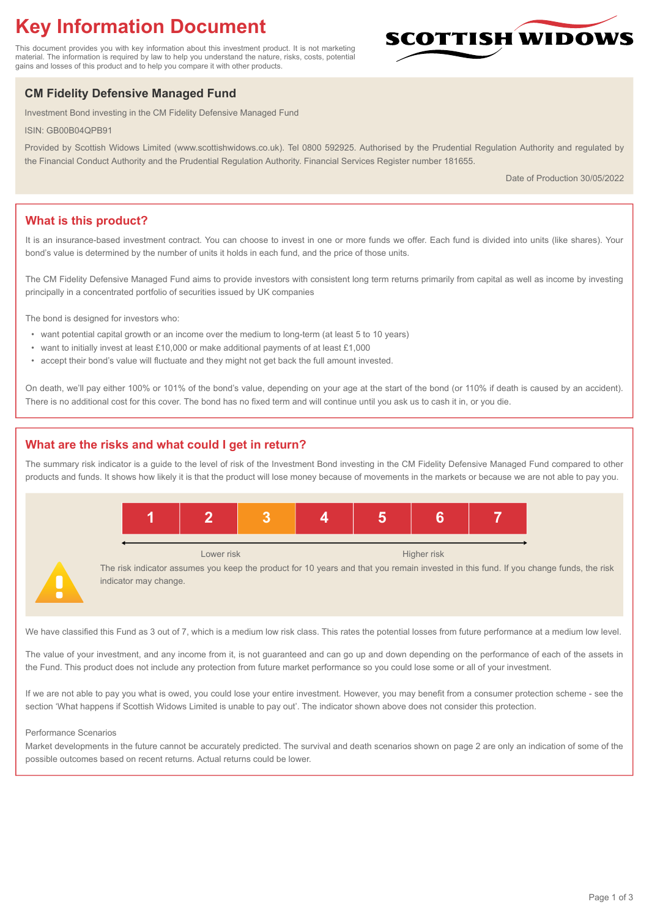# **Key Information Document**

This document provides you with key information about this investment product. It is not marketing material. The information is required by law to help you understand the nature, risks, costs, potential gains and losses of this product and to help you compare it with other products.

## **CM Fidelity Defensive Managed Fund**

Investment Bond investing in the CM Fidelity Defensive Managed Fund

ISIN: GB00B04QPB91

Provided by Scottish Widows Limited (www.scottishwidows.co.uk). Tel 0800 592925. Authorised by the Prudential Regulation Authority and regulated by the Financial Conduct Authority and the Prudential Regulation Authority. Financial Services Register number 181655.

Date of Production 30/05/2022

**SCOTTISH WIDOW** 

## **What is this product?**

It is an insurance-based investment contract. You can choose to invest in one or more funds we offer. Each fund is divided into units (like shares). Your bond's value is determined by the number of units it holds in each fund, and the price of those units.

The CM Fidelity Defensive Managed Fund aims to provide investors with consistent long term returns primarily from capital as well as income by investing principally in a concentrated portfolio of securities issued by UK companies

The bond is designed for investors who:

- want potential capital growth or an income over the medium to long-term (at least 5 to 10 years)
- want to initially invest at least £10,000 or make additional payments of at least £1,000
- accept their bond's value will fluctuate and they might not get back the full amount invested.

On death, we'll pay either 100% or 101% of the bond's value, depending on your age at the start of the bond (or 110% if death is caused by an accident). There is no additional cost for this cover. The bond has no fixed term and will continue until you ask us to cash it in, or you die.

### **What are the risks and what could I get in return?**

The summary risk indicator is a guide to the level of risk of the Investment Bond investing in the CM Fidelity Defensive Managed Fund compared to other products and funds. It shows how likely it is that the product will lose money because of movements in the markets or because we are not able to pay you.



We have classified this Fund as 3 out of 7, which is a medium low risk class. This rates the potential losses from future performance at a medium low level.

The value of your investment, and any income from it, is not guaranteed and can go up and down depending on the performance of each of the assets in the Fund. This product does not include any protection from future market performance so you could lose some or all of your investment.

If we are not able to pay you what is owed, you could lose your entire investment. However, you may benefit from a consumer protection scheme - see the section 'What happens if Scottish Widows Limited is unable to pay out'. The indicator shown above does not consider this protection.

#### Performance Scenarios

Market developments in the future cannot be accurately predicted. The survival and death scenarios shown on page 2 are only an indication of some of the possible outcomes based on recent returns. Actual returns could be lower.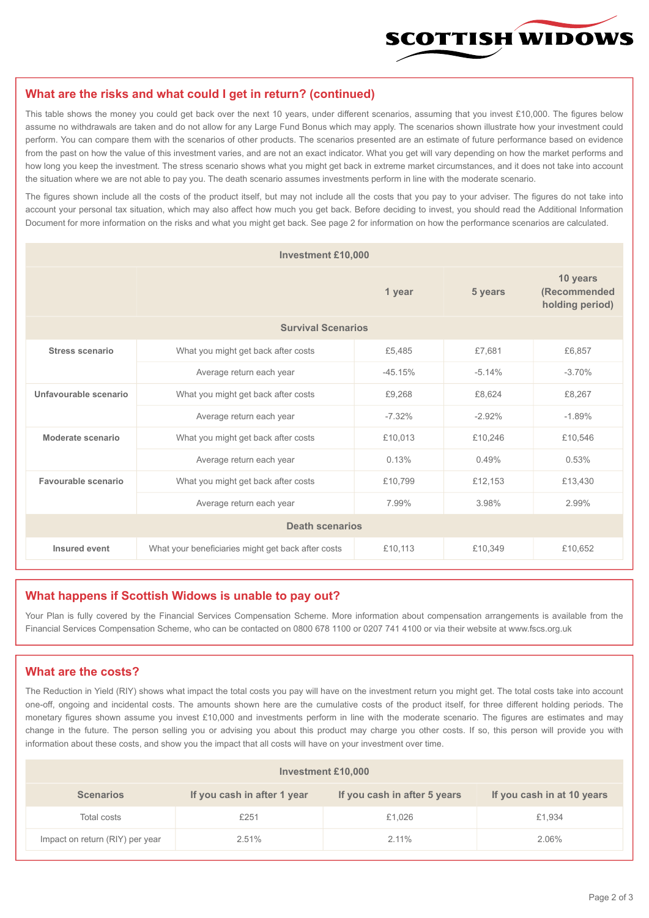

#### **What are the risks and what could I get in return? (continued)**

This table shows the money you could get back over the next 10 years, under different scenarios, assuming that you invest £10,000. The figures below assume no withdrawals are taken and do not allow for any Large Fund Bonus which may apply. The scenarios shown illustrate how your investment could perform. You can compare them with the scenarios of other products. The scenarios presented are an estimate of future performance based on evidence from the past on how the value of this investment varies, and are not an exact indicator. What you get will vary depending on how the market performs and how long you keep the investment. The stress scenario shows what you might get back in extreme market circumstances, and it does not take into account the situation where we are not able to pay you. The death scenario assumes investments perform in line with the moderate scenario.

The figures shown include all the costs of the product itself, but may not include all the costs that you pay to your adviser. The figures do not take into account your personal tax situation, which may also affect how much you get back. Before deciding to invest, you should read the Additional Information Document for more information on the risks and what you might get back. See page 2 for information on how the performance scenarios are calculated.

| <b>Investment £10,000</b> |                                                    |          |                                             |          |  |  |
|---------------------------|----------------------------------------------------|----------|---------------------------------------------|----------|--|--|
|                           |                                                    | 5 years  | 10 years<br>(Recommended<br>holding period) |          |  |  |
| <b>Survival Scenarios</b> |                                                    |          |                                             |          |  |  |
| <b>Stress scenario</b>    | What you might get back after costs                | £5,485   | £7,681                                      | £6,857   |  |  |
|                           | Average return each year<br>$-45.15%$              |          | $-5.14%$                                    | $-3.70%$ |  |  |
| Unfavourable scenario     | What you might get back after costs<br>£9,268      |          | £8,624                                      | £8,267   |  |  |
|                           | Average return each year                           | $-7.32%$ | $-2.92%$                                    | $-1.89%$ |  |  |
| Moderate scenario         | What you might get back after costs                | £10,013  | £10,246                                     | £10,546  |  |  |
|                           | Average return each year                           | 0.13%    | 0.49%                                       | 0.53%    |  |  |
| Favourable scenario       | What you might get back after costs                | £10,799  | £12,153                                     | £13,430  |  |  |
|                           | Average return each year                           | 7.99%    | 3.98%                                       | 2.99%    |  |  |
| <b>Death scenarios</b>    |                                                    |          |                                             |          |  |  |
| Insured event             | What your beneficiaries might get back after costs | £10,113  | £10,349                                     | £10,652  |  |  |

#### **What happens if Scottish Widows is unable to pay out?**

Your Plan is fully covered by the Financial Services Compensation Scheme. More information about compensation arrangements is available from the Financial Services Compensation Scheme, who can be contacted on 0800 678 1100 or 0207 741 4100 or via their website at www.fscs.org.uk

#### **What are the costs?**

The Reduction in Yield (RIY) shows what impact the total costs you pay will have on the investment return you might get. The total costs take into account one-off, ongoing and incidental costs. The amounts shown here are the cumulative costs of the product itself, for three different holding periods. The monetary figures shown assume you invest £10,000 and investments perform in line with the moderate scenario. The figures are estimates and may change in the future. The person selling you or advising you about this product may charge you other costs. If so, this person will provide you with information about these costs, and show you the impact that all costs will have on your investment over time.

| <b>Investment £10,000</b>       |                             |                              |                            |  |  |  |
|---------------------------------|-----------------------------|------------------------------|----------------------------|--|--|--|
| <b>Scenarios</b>                | If you cash in after 1 year | If you cash in after 5 years | If you cash in at 10 years |  |  |  |
| Total costs                     | £251                        | £1,026                       | £1,934                     |  |  |  |
| Impact on return (RIY) per year | 2.51%                       | $2.11\%$                     | 2.06%                      |  |  |  |